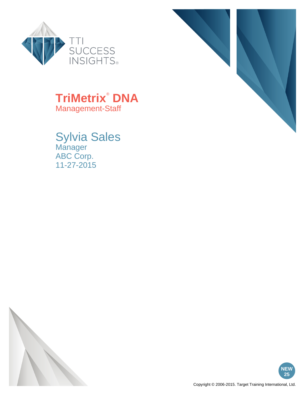



### **TriMetrix**®  **DNA** Management-Staff

Sylvia Sales Manager ABC Corp. 11-27-2015



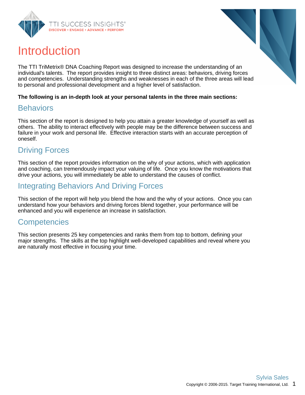



The TTI TriMetrix® DNA Coaching Report was designed to increase the understanding of an individual's talents. The report provides insight to three distinct areas: behaviors, driving forces and competencies. Understanding strengths and weaknesses in each of the three areas will lead to personal and professional development and a higher level of satisfaction.

#### **The following is an in-depth look at your personal talents in the three main sections:**

### **Behaviors**

This section of the report is designed to help you attain a greater knowledge of yourself as well as others. The ability to interact effectively with people may be the difference between success and failure in your work and personal life. Effective interaction starts with an accurate perception of oneself.

### Driving Forces

This section of the report provides information on the why of your actions, which with application and coaching, can tremendously impact your valuing of life. Once you know the motivations that drive your actions, you will immediately be able to understand the causes of conflict.

### Integrating Behaviors And Driving Forces

This section of the report will help you blend the how and the why of your actions. Once you can understand how your behaviors and driving forces blend together, your performance will be enhanced and you will experience an increase in satisfaction.

### **Competencies**

This section presents 25 key competencies and ranks them from top to bottom, defining your major strengths. The skills at the top highlight well-developed capabilities and reveal where you are naturally most effective in focusing your time.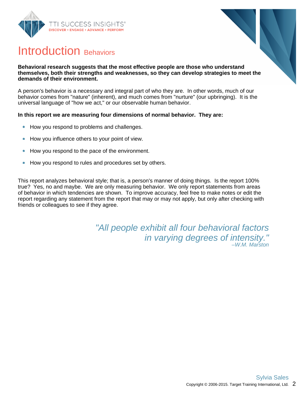



### Introduction Behaviors

#### **Behavioral research suggests that the most effective people are those who understand themselves, both their strengths and weaknesses, so they can develop strategies to meet the demands of their environment.**

A person's behavior is a necessary and integral part of who they are. In other words, much of our behavior comes from "nature" (inherent), and much comes from "nurture" (our upbringing). It is the universal language of "how we act," or our observable human behavior.

### **In this report we are measuring four dimensions of normal behavior. They are:**

- How you respond to problems and challenges.  $\bullet$
- How you influence others to your point of view.  $\bullet$
- How you respond to the pace of the environment.  $\bullet$
- How you respond to rules and procedures set by others.  $\bullet$

This report analyzes behavioral style; that is, a person's manner of doing things. Is the report 100% true? Yes, no and maybe. We are only measuring behavior. We only report statements from areas of behavior in which tendencies are shown. To improve accuracy, feel free to make notes or edit the report regarding any statement from the report that may or may not apply, but only after checking with friends or colleagues to see if they agree.

> "All people exhibit all four behavioral factors in varying degrees of intensity." –W.M. Marston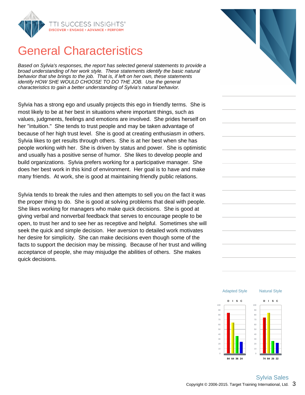

### General Characteristics

Based on Sylvia's responses, the report has selected general statements to provide a broad understanding of her work style. These statements identify the basic natural behavior that she brings to the job. That is, if left on her own, these statements identify HOW SHE WOULD CHOOSE TO DO THE JOB. Use the general characteristics to gain a better understanding of Sylvia's natural behavior.

Sylvia has a strong ego and usually projects this ego in friendly terms. She is most likely to be at her best in situations where important things, such as values, judgments, feelings and emotions are involved. She prides herself on her "intuition." She tends to trust people and may be taken advantage of because of her high trust level. She is good at creating enthusiasm in others. Sylvia likes to get results through others. She is at her best when she has people working with her. She is driven by status and power. She is optimistic and usually has a positive sense of humor. She likes to develop people and build organizations. Sylvia prefers working for a participative manager. She does her best work in this kind of environment. Her goal is to have and make many friends. At work, she is good at maintaining friendly public relations.

Sylvia tends to break the rules and then attempts to sell you on the fact it was the proper thing to do. She is good at solving problems that deal with people. She likes working for managers who make quick decisions. She is good at giving verbal and nonverbal feedback that serves to encourage people to be open, to trust her and to see her as receptive and helpful. Sometimes she will seek the quick and simple decision. Her aversion to detailed work motivates her desire for simplicity. She can make decisions even though some of the facts to support the decision may be missing. Because of her trust and willing acceptance of people, she may misjudge the abilities of others. She makes quick decisions.



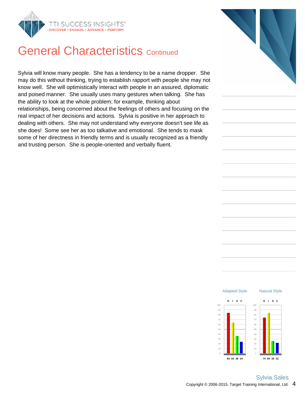

### **General Characteristics Continued**

Sylvia will know many people. She has a tendency to be a name dropper. She may do this without thinking, trying to establish rapport with people she may not know well. She will optimistically interact with people in an assured, diplomatic and poised manner. She usually uses many gestures when talking. She has the ability to look at the whole problem; for example, thinking about relationships, being concerned about the feelings of others and focusing on the real impact of her decisions and actions. Sylvia is positive in her approach to dealing with others. She may not understand why everyone doesn't see life as she does! Some see her as too talkative and emotional. She tends to mask some of her directness in friendly terms and is usually recognized as a friendly and trusting person. She is people-oriented and verbally fluent.



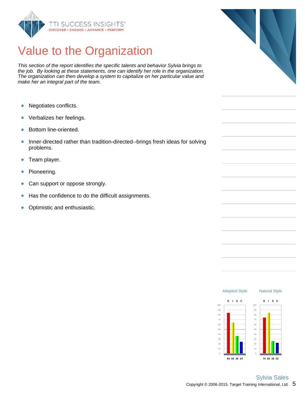

## Value to the Organization

This section of the report identifies the specific talents and behavior Sylvia brings to the job. By looking at these statements, one can identify her role in the organization. The organization can then develop a system to capitalize on her particular value and make her an integral part of the team.

- $\bullet$ Negotiates conflicts.
- Verbalizes her feelings.  $\bullet$
- Bottom line-oriented.  $\bullet$
- Inner-directed rather than tradition-directed--brings fresh ideas for solving  $\bullet$ problems.
- Team player.  $\bullet$
- Pioneering.  $\bullet$
- Can support or oppose strongly.  $\bullet$
- Has the confidence to do the difficult assignments.  $\bullet$
- $\bullet$ Optimistic and enthusiastic.



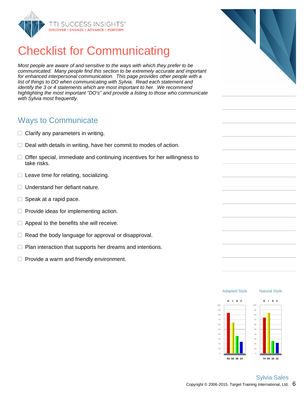

## Checklist for Communicating

Most people are aware of and sensitive to the ways with which they prefer to be communicated. Many people find this section to be extremely accurate and important for enhanced interpersonal communication. This page provides other people with a list of things to DO when communicating with Sylvia. Read each statement and identify the 3 or 4 statements which are most important to her. We recommend highlighting the most important "DO's" and provide a listing to those who communicate with Sylvia most frequently.

### Ways to Communicate

- $\Box$  Clarify any parameters in writing.
- $\Box$  Deal with details in writing, have her commit to modes of action.
- $\Box$  Offer special, immediate and continuing incentives for her willingness to take risks.
- $\Box$  Leave time for relating, socializing.
- $\Box$  Understand her defiant nature.
- $\Box$  Speak at a rapid pace.
- $\Box$  Provide ideas for implementing action.
- $\Box$  Appeal to the benefits she will receive.
- $\Box$  Read the body language for approval or disapproval.
- $\Box$  Plan interaction that supports her dreams and intentions.
- $\Box$  Provide a warm and friendly environment.

Adapted Style

Natural Style

**D I S C**

**74 84 26 22**

**D I S C**

**84 64 36 24**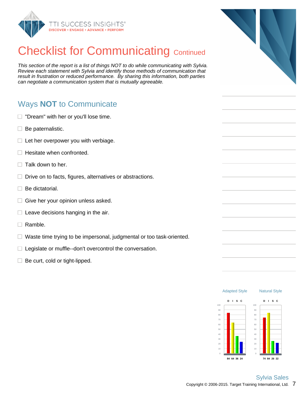

## **Checklist for Communicating Continued**

This section of the report is a list of things NOT to do while communicating with Sylvia. Review each statement with Sylvia and identify those methods of communication that result in frustration or reduced performance. By sharing this information, both parties can negotiate a communication system that is mutually agreeable.

### Ways **NOT** to Communicate

- $\Box$  "Dream" with her or you'll lose time.
- $\Box$  Be paternalistic.
- $\Box$  Let her overpower you with verbiage.
- $\Box$  Hesitate when confronted.
- Talk down to her.
- $\Box$  Drive on to facts, figures, alternatives or abstractions.
- $\Box$  Be dictatorial.
- $\Box$  Give her your opinion unless asked.
- $\Box$  Leave decisions hanging in the air.
- $\Box$  Ramble.
- $\Box$  Waste time trying to be impersonal, judgmental or too task-oriented.
- $\Box$  Legislate or muffle--don't overcontrol the conversation.
- $\Box$  Be curt, cold or tight-lipped.



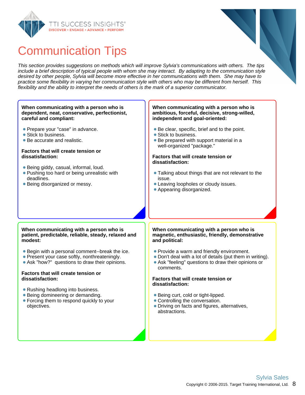



## Communication Tips

This section provides suggestions on methods which will improve Sylvia's communications with others. The tips include a brief description of typical people with whom she may interact. By adapting to the communication style desired by other people, Sylvia will become more effective in her communications with them. She may have to practice some flexibility in varying her communication style with others who may be different from herself. This flexibility and the ability to interpret the needs of others is the mark of a superior communicator.

#### **When communicating with a person who is dependent, neat, conservative, perfectionist, careful and compliant:**

- **Prepare your "case" in advance.**
- Stick to business.
- Be accurate and realistic.

#### **Factors that will create tension or dissatisfaction:**

- Being giddy, casual, informal, loud.
- **Pushing too hard or being unrealistic with** deadlines.
- Being disorganized or messy.

#### **When communicating with a person who is ambitious, forceful, decisive, strong-willed, independent and goal-oriented:**

- Be clear, specific, brief and to the point.
- Stick to business.
- Be prepared with support material in a well-organized "package."

#### **Factors that will create tension or dissatisfaction:**

- Talking about things that are not relevant to the issue.
- Leaving loopholes or cloudy issues.
- Appearing disorganized.

#### **When communicating with a person who is patient, predictable, reliable, steady, relaxed and modest:**

- Begin with a personal comment--break the ice.
- Present your case softly, nonthreateningly.
- Ask "how?" questions to draw their opinions.

#### **Factors that will create tension or dissatisfaction:**

- Rushing headlong into business.
- Being domineering or demanding.
- Forcing them to respond quickly to your objectives.

#### **When communicating with a person who is magnetic, enthusiastic, friendly, demonstrative and political:**

- Provide a warm and friendly environment.
- Don't deal with a lot of details (put them in writing).
- Ask "feeling" questions to draw their opinions or comments.

#### **Factors that will create tension or dissatisfaction:**

- Being curt, cold or tight-lipped.
- Controlling the conversation.
- Driving on facts and figures, alternatives, abstractions.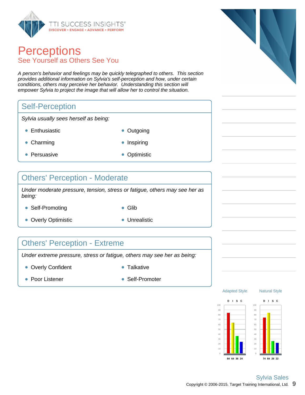

### **Perceptions** See Yourself as Others See You

A person's behavior and feelings may be quickly telegraphed to others. This section provides additional information on Sylvia's self-perception and how, under certain conditions, others may perceive her behavior. Understanding this section will empower Sylvia to project the image that will allow her to control the situation.

### Self-Perception

Sylvia usually sees herself as being:

- Enthusiastic **Contact Contact Contact Contact Contact Contact Contact Contact Contact Contact Contact Contact Contact Contact Contact Contact Contact Contact Contact Contact Contact Contact Contact Contact Contact Contac**
- 
- Charming **Inspiring Inspiring**
- Persuasive **Optimistic**
- 

### Others' Perception - Moderate

Under moderate pressure, tension, stress or fatigue, others may see her as being:

- Self-Promoting **Glib**
- 
- Overly Optimistic **Contact Contact Contact Contact Contact Contact Contact Contact Contact Contact Contact Contact Contact Contact Contact Contact Contact Contact Contact Contact Contact Contact Contact Contact Contact C**
- 

### Others' Perception - Extreme

Under extreme pressure, stress or fatigue, others may see her as being:

- Overly Confident **Canadian Confident Talkative** 
	-

- 
- Poor Listener Self-Promoter





Adapted Style



Natural Style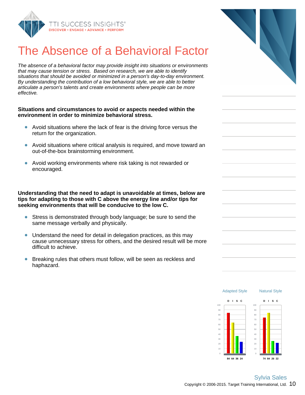

## The Absence of a Behavioral Facto

The absence of a behavioral factor may provide insight into situations or environmen that may cause tension or stress. Based on research, we are able to identify situations that should be avoided or minimized in a person's day-to-day environment. By understanding the contribution of a low behavioral style, we are able to better articulate a person's talents and create environments where people can be more effective.

#### **Situations and circumstances to avoid or aspects needed within the environment in order to minimize behavioral stress.**

- Avoid situations where the lack of fear is the driving force versus the return for the organization.
- Avoid situations where critical analysis is required, and move toward are out-of-the-box brainstorming environment.
- Avoid working environments where risk taking is not rewarded or encouraged.

**Understanding that the need to adapt is unavoidable at times, below are tips for adapting to those with C above the energy line and/or tips for seeking environments that will be conducive to the low C.**

- Stress is demonstrated through body language; be sure to send the same message verbally and physically.
- Understand the need for detail in delegation practices, as this may cause unnecessary stress for others, and the desired result will be more difficult to achieve.
- Breaking rules that others must follow, will be seen as reckless and haphazard.

| its<br>$\ddot{\mathbf{r}}$ |  |
|----------------------------|--|
|                            |  |
| ٦                          |  |
| e                          |  |
| .e                         |  |

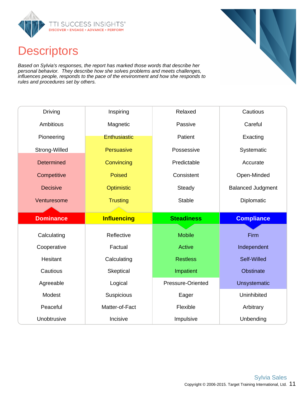

### **Descriptors**

Based on Sylvia's responses, the report has marked those words that describe her personal behavior. They describe how she solves problems and meets challenges, influences people, responds to the pace of the environment and how she responds to rules and procedures set by others.

| <b>Driving</b>    | Inspiring           | Relaxed           | Cautious                 |
|-------------------|---------------------|-------------------|--------------------------|
| Ambitious         | Magnetic            | Passive           | Careful                  |
| Pioneering        | <b>Enthusiastic</b> | Patient           | Exacting                 |
| Strong-Willed     | Persuasive          | Possessive        | Systematic               |
| <b>Determined</b> | Convincing          | Predictable       | Accurate                 |
| Competitive       | <b>Poised</b>       | Consistent        | Open-Minded              |
| <b>Decisive</b>   | Optimistic          | Steady            | <b>Balanced Judgment</b> |
| Venturesome       | <b>Trusting</b>     | <b>Stable</b>     | Diplomatic               |
|                   |                     |                   |                          |
|                   |                     |                   |                          |
| <b>Dominance</b>  | <b>Influencing</b>  | <b>Steadiness</b> | <b>Compliance</b>        |
|                   |                     |                   |                          |
| Calculating       | Reflective          | <b>Mobile</b>     | Firm                     |
| Cooperative       | Factual             | <b>Active</b>     | Independent              |
| Hesitant          | Calculating         | <b>Restless</b>   | Self-Willed              |
| Cautious          | Skeptical           | Impatient         | Obstinate                |
| Agreeable         | Logical             | Pressure-Oriented | Unsystematic             |
| Modest            | Suspicious          | Eager             | Uninhibited              |
| Peaceful          | Matter-of-Fact      | Flexible          | Arbitrary                |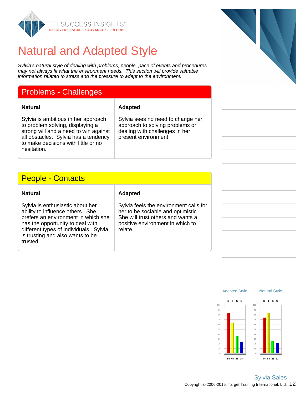

## Natural and Adapted Style

Sylvia's natural style of dealing with problems, people, pace of events and procedures may not always fit what the environment needs. This section will provide valuable information related to stress and the pressure to adapt to the environment.

### Problems - Challenges

#### **Natural Adapted**

Sylvia is ambitious in her approach to problem solving, displaying a strong will and a need to win against all obstacles. Sylvia has a tendency to make decisions with little or no hesitation.

### People - Contacts

Sylvia is enthusiastic about her ability to influence others. She prefers an environment in which she has the opportunity to deal with different types of individuals. Sylvia is trusting and also wants to be trusted.

### **Natural Adapted**

Sylvia feels the environment calls for her to be sociable and optimistic. She will trust others and wants a positive environment in which to relate.

Sylvia sees no need to change her approach to solving problems or dealing with challenges in her

present environment.

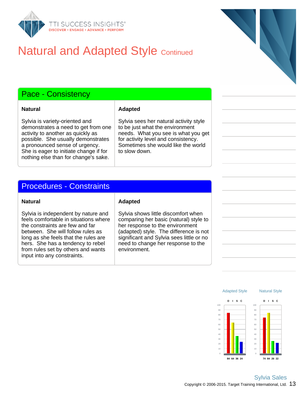

## **Natural and Adapted Style Continued**

### Pace - Consistency

**Natural Adapted** 

Sylvia is variety-oriented and demonstrates a need to get from one activity to another as quickly as possible. She usually demonstrates a pronounced sense of urgency. She is eager to initiate change if for nothing else than for change's sake.

#### Sylvia sees her natural activity style to be just what the environment needs. What you see is what you get for activity level and consistency. Sometimes she would like the world to slow down.

### Procedures - Constraints

Sylvia is independent by nature and feels comfortable in situations where the constraints are few and far between. She will follow rules as long as she feels that the rules are hers. She has a tendency to rebel from rules set by others and wants input into any constraints.

#### **Natural Adapted**

Sylvia shows little discomfort when comparing her basic (natural) style to her response to the environment (adapted) style. The difference is not significant and Sylvia sees little or no need to change her response to the environment.

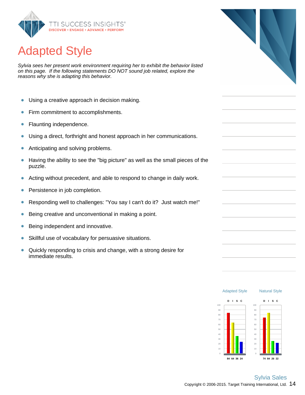

# Adapted Style

Sylvia sees her present work environment requiring her to exhibit the behavior listed on this page. If the following statements DO NOT sound job related, explore the reasons why she is adapting this behavior.

- $\bullet$ Using a creative approach in decision making.
- Firm commitment to accomplishments.  $\bullet$
- Flaunting independence.  $\bullet$
- Using a direct, forthright and honest approach in her communications.  $\bullet$
- Anticipating and solving problems.  $\bullet$
- Having the ability to see the "big picture" as well as the small pieces of the  $\bullet$ puzzle.
- Acting without precedent, and able to respond to change in daily work.  $\bullet$
- Persistence in job completion.  $\bullet$
- Responding well to challenges: "You say I can't do it? Just watch me!"  $\bullet$
- $\bullet$ Being creative and unconventional in making a point.
- $\bullet$ Being independent and innovative.
- Skillful use of vocabulary for persuasive situations.  $\bullet$
- Quickly responding to crisis and change, with a strong desire for  $\bullet$ immediate results.

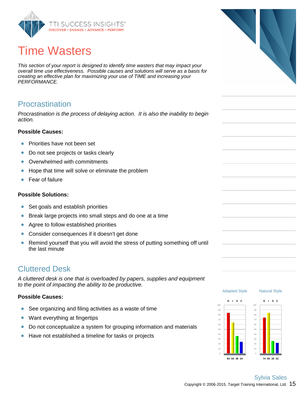

# Time Wasters

This section of your report is designed to identify time wasters that may impact your overall time use effectiveness. Possible causes and solutions will serve as a basis for creating an effective plan for maximizing your use of TIME and increasing your PERFORMANCE.

### Procrastination

Procrastination is the process of delaying action. It is also the inability to begin action.

### **Possible Causes:**

- Priorities have not been set  $\bullet$
- $\bullet$ Do not see projects or tasks clearly
- Overwhelmed with commitments  $\bullet$
- Hope that time will solve or eliminate the problem  $\bullet$
- Fear of failure  $\bullet$

#### **Possible Solutions:**

- $\bullet$ Set goals and establish priorities
- Break large projects into small steps and do one at a time  $\bullet$
- Agree to follow established priorities  $\bullet$
- Consider consequences if it doesn't get done  $\bullet$
- Remind yourself that you will avoid the stress of putting something off until  $\bullet$ the last minute

### Cluttered Desk

A cluttered desk is one that is overloaded by papers, supplies and equipment to the point of impacting the ability to be productive.

### **Possible Causes:**

- See organizing and filing activities as a waste of time  $\bullet$
- Want everything at fingertips  $\bullet$
- Do not conceptualize a system for grouping information and materials  $\bullet$
- $\bullet$ Have not established a timeline for tasks or projects



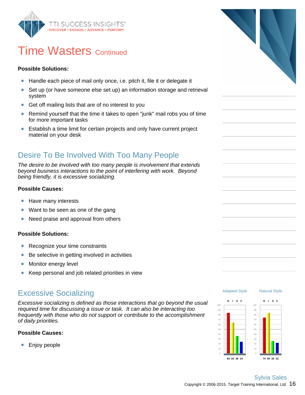

### **Time Wasters Continued**

### **Possible Solutions:**

- Handle each piece of mail only once, i.e. pitch it, file it or delegate it  $\bullet$
- $\bullet$ Set up (or have someone else set up) an information storage and retrieval system
- Get off mailing lists that are of no interest to you  $\bullet$
- $\bullet$ Remind yourself that the time it takes to open "junk" mail robs you of time for more important tasks
- $\bullet$ Establish a time limit for certain projects and only have current project material on your desk

### Desire To Be Involved With Too Many People

The desire to be involved with too many people is involvement that extends beyond business interactions to the point of interfering with work. Beyond being friendly, it is excessive socializing.

### **Possible Causes:**

- Have many interests  $\bullet$
- Want to be seen as one of the gang  $\bullet$
- $\bullet$ Need praise and approval from others

### **Possible Solutions:**

- Recognize your time constraints  $\bullet$
- Be selective in getting involved in activities  $\bullet$
- Monitor energy level  $\bullet$
- $\bullet$ Keep personal and job related priorities in view

### Excessive Socializing

Excessive socializing is defined as those interactions that go beyond the usual required time for discussing a issue or task. It can also be interacting too frequently with those who do not support or contribute to the accomplishment of daily priorities.

### **Possible Causes:**

Enjoy people  $\bullet$ 





Natural Style

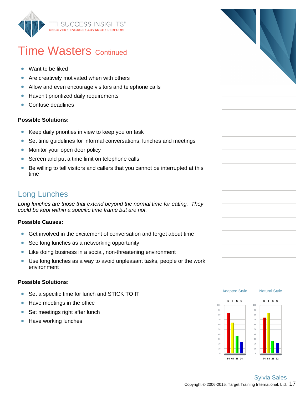

### **Time Wasters Continued**

- ŏ Want to be liked
- $\bullet$ Are creatively motivated when with others
- Allow and even encourage visitors and telephone calls  $\bullet$
- Haven't prioritized daily requirements  $\bullet$
- Confuse deadlines  $\bullet$

#### **Possible Solutions:**

- $\bullet$ Keep daily priorities in view to keep you on task
- Set time guidelines for informal conversations, lunches and meetings  $\bullet$
- Monitor your open door policy  $\bullet$
- $\bullet$ Screen and put a time limit on telephone calls
- Be willing to tell visitors and callers that you cannot be interrupted at this  $\bullet$ time

### Long Lunches

Long lunches are those that extend beyond the normal time for eating. They could be kept within a specific time frame but are not.

### **Possible Causes:**

- Get involved in the excitement of conversation and forget about time  $\bullet$
- $\bullet$ See long lunches as a networking opportunity
- $\bullet$ Like doing business in a social, non-threatening environment
- Use long lunches as a way to avoid unpleasant tasks, people or the work  $\bullet$ environment

#### **Possible Solutions:**

- Set a specific time for lunch and STICK TO IT  $\bullet$
- $\bullet$ Have meetings in the office
- Set meetings right after lunch  $\bullet$
- $\bullet$ Have working lunches



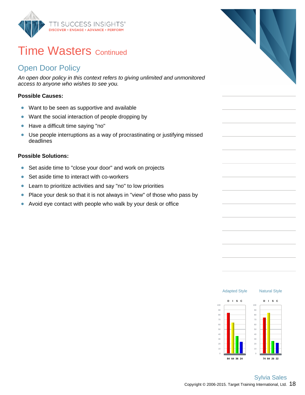

### **Time Wasters Continued**

### Open Door Policy

An open door policy in this context refers to giving unlimited and unmonitored access to anyone who wishes to see you.

### **Possible Causes:**

- Want to be seen as supportive and available  $\bullet$
- Want the social interaction of people dropping by  $\bullet$
- Have a difficult time saying "no"  $\bullet$
- $\bullet$ Use people interruptions as a way of procrastinating or justifying missed deadlines

### **Possible Solutions:**

- Set aside time to "close your door" and work on projects  $\bullet$
- Set aside time to interact with co-workers  $\bullet$
- Learn to prioritize activities and say "no" to low priorities  $\bullet$
- Place your desk so that it is not always in "view" of those who pass by  $\bullet$
- Avoid eye contact with people who walk by your desk or office  $\bullet$

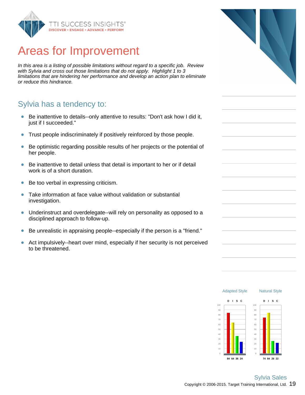

## Areas for Improvement

In this area is a listing of possible limitations without regard to a specific job. Review with Sylvia and cross out those limitations that do not apply. Highlight 1 to 3 limitations that are hindering her performance and develop an action plan to eliminate or reduce this hindrance.

### Sylvia has a tendency to:

- Be inattentive to details--only attentive to results: "Don't ask how I did it,  $\bullet$ just if I succeeded."
- Trust people indiscriminately if positively reinforced by those people.  $\bullet$
- Be optimistic regarding possible results of her projects or the potential of  $\bullet$ her people.
- Be inattentive to detail unless that detail is important to her or if detail  $\bullet$ work is of a short duration.
- Be too verbal in expressing criticism.  $\bullet$
- Take information at face value without validation or substantial  $\bullet$ investigation.
- Underinstruct and overdelegate--will rely on personality as opposed to a disciplined approach to follow-up.
- Be unrealistic in appraising people--especially if the person is a "friend."  $\bullet$
- Act impulsively--heart over mind, especially if her security is not perceived  $\bullet$ to be threatened.



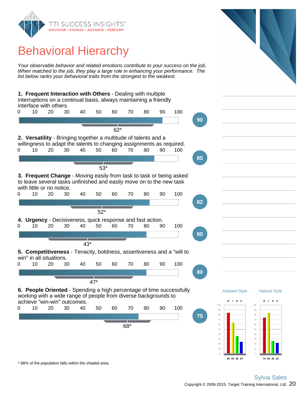

## Behavioral Hierarchy

Your observable behavior and related emotions contribute to your success on the job. When matched to the job, they play a large role in enhancing your performance. The list below ranks your behavioral traits from the strongest to the weakest.

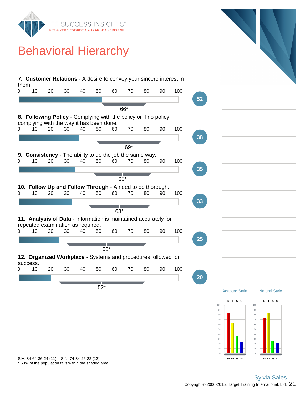

## Behavioral Hierarchy



\* 68% of the population falls within the shaded area. SIA: 84-64-36-24 (11) SIN: 74-84-26-22 (13)

**84 64 36 24**

**74 84 26 22**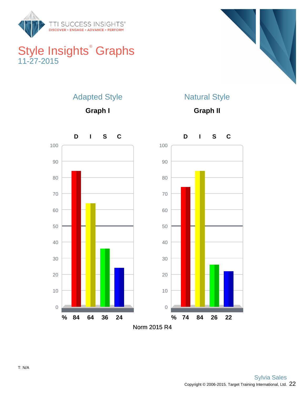

### Style Insights<sup>®</sup> Graphs 11-27-2015



### Adapted Style

**Graph I**

### Natural Style

**Graph II**

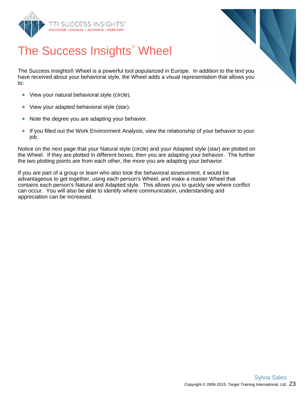



# The Success Insights<sup>®</sup> Wheel

The Success Insights® Wheel is a powerful tool popularized in Europe. In addition to the text you have received about your behavioral style, the Wheel adds a visual representation that allows you to:

- View your natural behavioral style (circle).  $\bullet$
- $\bullet$ View your adapted behavioral style (star).
- $\bullet$ Note the degree you are adapting your behavior.
- $\bullet$ If you filled out the Work Environment Analysis, view the relationship of your behavior to your job.

Notice on the next page that your Natural style (circle) and your Adapted style (star) are plotted on the Wheel. If they are plotted in different boxes, then you are adapting your behavior. The further the two plotting points are from each other, the more you are adapting your behavior.

If you are part of a group or team who also took the behavioral assessment, it would be advantageous to get together, using each person's Wheel, and make a master Wheel that contains each person's Natural and Adapted style. This allows you to quickly see where conflict can occur. You will also be able to identify where communication, understanding and appreciation can be increased.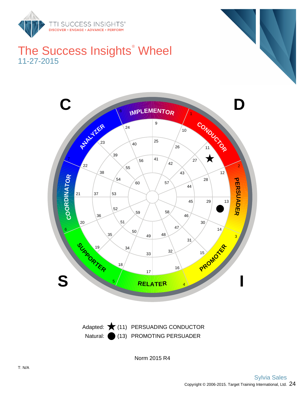

### The Success Insights<sup>®</sup> Wheel 11-27-2015



Natural: (13) PROMOTING PERSUADER Adapted:  $\bigstar$  (11) PERSUADING CONDUCTOR

Norm 2015 R4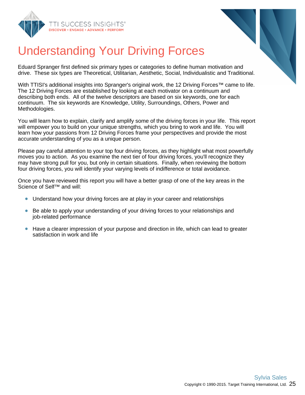



# Understanding Your Driving Forces

Eduard Spranger first defined six primary types or categories to define human motivation and drive. These six types are Theoretical, Utilitarian, Aesthetic, Social, Individualistic and Traditional.

With TTISI's additional insights into Spranger's original work, the 12 Driving Forces™ came to life. The 12 Driving Forces are established by looking at each motivator on a continuum and describing both ends. All of the twelve descriptors are based on six keywords, one for each continuum. The six keywords are Knowledge, Utility, Surroundings, Others, Power and Methodologies.

You will learn how to explain, clarify and amplify some of the driving forces in your life. This report will empower you to build on your unique strengths, which you bring to work and life. You will learn how your passions from 12 Driving Forces frame your perspectives and provide the most accurate understanding of you as a unique person.

Please pay careful attention to your top four driving forces, as they highlight what most powerfully moves you to action. As you examine the next tier of four driving forces, you'll recognize they may have strong pull for you, but only in certain situations. Finally, when reviewing the bottom four driving forces, you will identify your varying levels of indifference or total avoidance.

Once you have reviewed this report you will have a better grasp of one of the key areas in the Science of Self™ and will:

- Understand how your driving forces are at play in your career and relationships
- $\bullet$ Be able to apply your understanding of your driving forces to your relationships and job-related performance
- Have a clearer impression of your purpose and direction in life, which can lead to greater satisfaction in work and life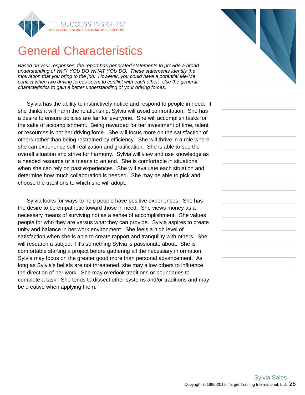

### General Characteristics

Based on your responses, the report has generated statements to provide a broad understanding of WHY YOU DO WHAT YOU DO. These statements identify the motivation that you bring to the job. However, you could have a potential Me-Me conflict when two driving forces seem to conflict with each other. Use the general characteristics to gain a better understanding of your driving forces.

Sylvia has the ability to instinctively notice and respond to people in need. If she thinks it will harm the relationship, Sylvia will avoid confrontation. She has a desire to ensure policies are fair for everyone. She will accomplish tasks for the sake of accomplishment. Being rewarded for her investment of time, talent or resources is not her driving force. She will focus more on the satisfaction of others rather than being restrained by efficiency. She will thrive in a role where she can experience self-realization and gratification. She is able to see the overall situation and strive for harmony. Sylvia will view and use knowledge as a needed resource or a means to an end. She is comfortable in situations when she can rely on past experiences. She will evaluate each situation and determine how much collaboration is needed. She may be able to pick and choose the traditions to which she will adopt.

Sylvia looks for ways to help people have positive experiences. She has the desire to be empathetic toward those in need. She views money as a necessary means of surviving not as a sense of accomplishment. She values people for who they are versus what they can provide. Sylvia aspires to create unity and balance in her work environment. She feels a high level of satisfaction when she is able to create rapport and tranquility with others. She will research a subject if it's something Sylvia is passionate about. She is comfortable starting a project before gathering all the necessary information. Sylvia may focus on the greater good more than personal advancement. As long as Sylvia's beliefs are not threatened, she may allow others to influence the direction of her work. She may overlook traditions or boundaries to complete a task. She tends to dissect other systems and/or traditions and may be creative when applying them.



Copyright © 1990-2015. Target Training International, Ltd.  $26$ 

Sylvia Sales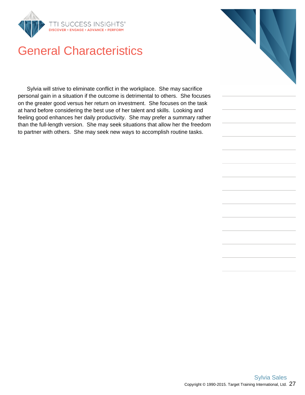

## General Characteristics

Sylvia will strive to eliminate conflict in the workplace. She may sacrifice personal gain in a situation if the outcome is detrimental to others. She focuses on the greater good versus her return on investment. She focuses on the task at hand before considering the best use of her talent and skills. Looking and feeling good enhances her daily productivity. She may prefer a summary rather than the full-length version. She may seek situations that allow her the freedom to partner with others. She may seek new ways to accomplish routine tasks.

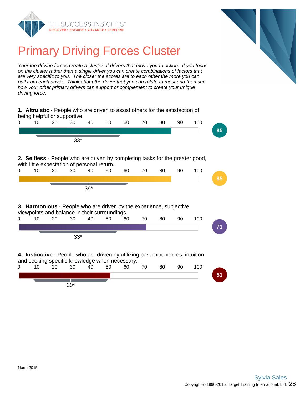



## Primary Driving Forces Cluster

Your top driving forces create a cluster of drivers that move you to action. If you focus on the cluster rather than a single driver you can create combinations of factors that are very specific to you. The closer the scores are to each other the more you can pull from each driver. Think about the driver that you can relate to most and then see how your other primary drivers can support or complement to create your unique driving force.

|   | being helpful or supportive.                |    |       |       | 1. Altruistic - People who are driven to assist others for the satisfaction of                                                    |    |    |    |    |     |    |
|---|---------------------------------------------|----|-------|-------|-----------------------------------------------------------------------------------------------------------------------------------|----|----|----|----|-----|----|
| 0 | 10 <sup>1</sup>                             | 20 | 30    | 40    | 50                                                                                                                                | 60 | 70 | 80 | 90 | 100 |    |
|   |                                             |    |       |       |                                                                                                                                   |    |    |    |    |     | 85 |
|   |                                             |    | $33*$ |       |                                                                                                                                   |    |    |    |    |     |    |
|   | with little expectation of personal return. |    |       |       | 2. Selfless - People who are driven by completing tasks for the greater good,                                                     |    |    |    |    |     |    |
| 0 | 10                                          | 20 | 30    | 40    | 50                                                                                                                                | 60 | 70 | 80 | 90 | 100 |    |
|   |                                             |    |       |       |                                                                                                                                   |    |    |    |    |     | 85 |
|   |                                             |    |       | $39*$ |                                                                                                                                   |    |    |    |    |     |    |
|   |                                             |    |       |       | 3. Harmonious - People who are driven by the experience, subjective<br>viewpoints and balance in their surroundings.              |    |    |    |    |     |    |
| 0 | 10                                          | 20 | 30    | 40    | 50                                                                                                                                | 60 | 70 | 80 | 90 | 100 |    |
|   |                                             |    |       |       |                                                                                                                                   |    |    |    |    |     | 71 |
|   |                                             |    | $33*$ |       |                                                                                                                                   |    |    |    |    |     |    |
|   |                                             |    |       |       | 4. Instinctive - People who are driven by utilizing past experiences, intuition<br>and seeking specific knowledge when necessary. |    |    |    |    |     |    |
| 0 | 10                                          | 20 | 30    | 40    | 50                                                                                                                                | 60 | 70 | 80 | 90 | 100 |    |
|   |                                             |    |       |       |                                                                                                                                   |    |    |    |    |     | 51 |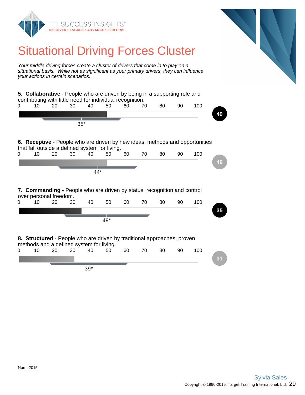

## Situational Driving Forces Cluster

Your middle driving forces create a cluster of drivers that come in to play on a situational basis. While not as significant as your primary drivers, they can influence your actions in certain scenarios.

**5. Collaborative** - People who are driven by being in a supporting role and contributing with little need for individual recognition. 0 10 20 30 40 50 60 70 80 90 100 **49** 35\* **6. Receptive** - People who are driven by new ideas, methods and opportunities that fall outside a defined system for living. 0 10 20 30 40 50 60 70 80 90 100 **49** 44\* **7. Commanding** - People who are driven by status, recognition and control over personal freedom. 0 10 20 30 40 50 60 70 80 90 100 **35** 49\* **8. Structured** - People who are driven by traditional approaches, proven methods and a defined system for living. 0 10 20 30 40 50 60 70 80 90 100 **31** 39\*

> Copyright © 1990-2015. Target Training International, Ltd.  $29$ Sylvia Sales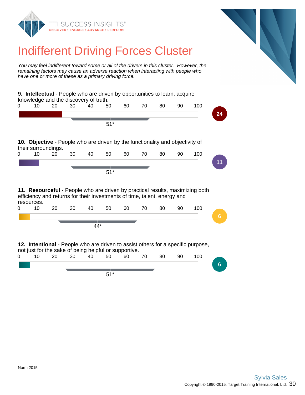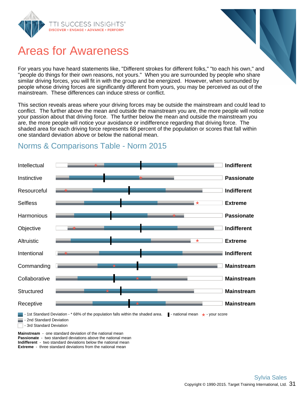

### Areas for Awareness

For years you have heard statements like, "Different strokes for different folks," "to each his own," and "people do things for their own reasons, not yours." When you are surrounded by people who share similar driving forces, you will fit in with the group and be energized. However, when surrounded by people whose driving forces are significantly different from yours, you may be perceived as out of the mainstream. These differences can induce stress or conflict.

This section reveals areas where your driving forces may be outside the mainstream and could lead to conflict. The further above the mean and outside the mainstream you are, the more people will notice your passion about that driving force. The further below the mean and outside the mainstream you are, the more people will notice your avoidance or indifference regarding that driving force. The shaded area for each driving force represents 68 percent of the population or scores that fall within one standard deviation above or below the national mean.



### Norms & Comparisons Table - Norm 2015

**Passionate** - two standard deviations above the national mean **Indifferent** - two standard deviations below the national mean **Extreme** - three standard deviations from the national mean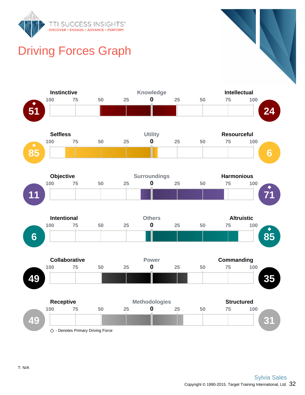

## Driving Forces Graph

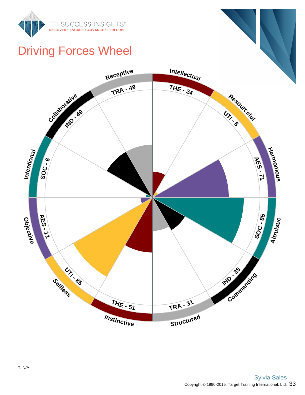

## Driving Forces Wheel

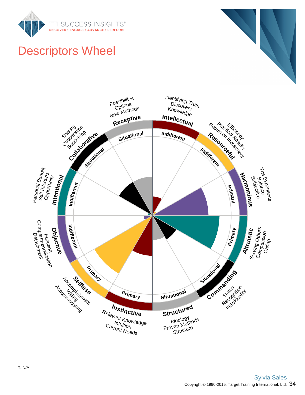

# Descriptors Wheel

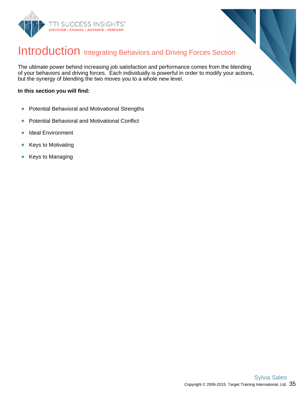



### Introduction Integrating Behaviors and Driving Forces Section

The ultimate power behind increasing job satisfaction and performance comes from the blending of your behaviors and driving forces. Each individually is powerful in order to modify your actions, but the synergy of blending the two moves you to a whole new level.

#### **In this section you will find:**

- Potential Behavioral and Motivational Strengths  $\bullet$
- Potential Behavioral and Motivational Conflict  $\bullet$
- Ideal Environment  $\bullet$
- Keys to Motivating  $\bullet$
- Keys to Managing  $\bullet$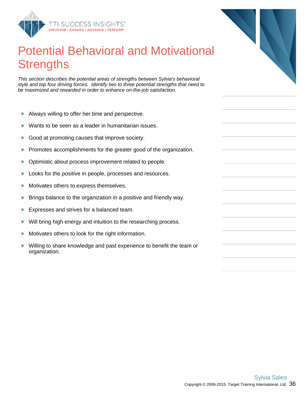

## Potential Behavioral and Motivational **Strengths**

This section describes the potential areas of strengths between Sylvia's behavioral style and top four driving forces. Identify two to three potential strengths that need to be maximized and rewarded in order to enhance on-the-job satisfaction.

- Always willing to offer her time and perspective.  $\bullet$
- Wants to be seen as a leader in humanitarian issues.  $\bullet$
- Good at promoting causes that improve society.  $\bullet$
- Promotes accomplishments for the greater good of the organization.  $\bullet$
- Optimistic about process improvement related to people.  $\bullet$
- Looks for the positive in people, processes and resources.  $\bullet$
- $\bullet$ Motivates others to express themselves.
- Brings balance to the organization in a positive and friendly way.  $\bullet$
- Expresses and strives for a balanced team.  $\bullet$
- Will bring high energy and intuition to the researching process.  $\bullet$
- $\bullet$ Motivates others to look for the right information.
- Willing to share knowledge and past experience to benefit the team or  $\bullet$ organization.

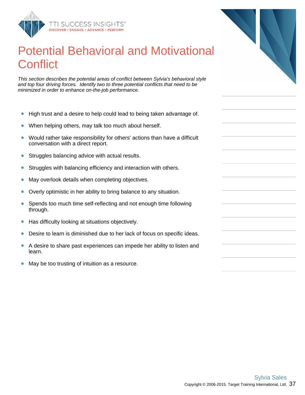

## Potential Behavioral and Motivational **Conflict**

This section describes the potential areas of conflict between Sylvia's behavioral style and top four driving forces. Identify two to three potential conflicts that need to be minimized in order to enhance on-the-job performance.

- High trust and a desire to help could lead to being taken advantage of.  $\bullet$
- When helping others, may talk too much about herself.  $\bullet$
- Would rather take responsibility for others' actions than have a difficult  $\bullet$ conversation with a direct report.
- $\bullet$ Struggles balancing advice with actual results.
- Struggles with balancing efficiency and interaction with others.  $\bullet$
- May overlook details when completing objectives.  $\bullet$
- $\bullet$ Overly optimistic in her ability to bring balance to any situation.
- $\bullet$ Spends too much time self-reflecting and not enough time following through.
- Has difficulty looking at situations objectively.  $\bullet$
- $\bullet$ Desire to learn is diminished due to her lack of focus on specific ideas.
- A desire to share past experiences can impede her ability to listen and  $\bullet$ learn.
- $\bullet$ May be too trusting of intuition as a resource.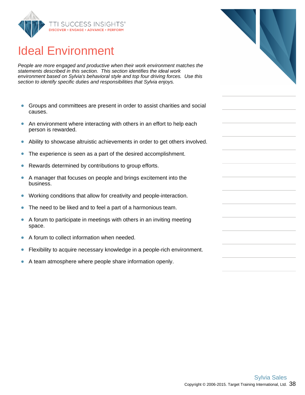

## Ideal Environment

People are more engaged and productive when their work environment matches the statements described in this section. This section identifies the ideal work environment based on Sylvia's behavioral style and top four driving forces. Use this section to identify specific duties and responsibilities that Sylvia enjoys.

- $\bullet$ Groups and committees are present in order to assist charities and social causes.
- $\bullet$ An environment where interacting with others in an effort to help each person is rewarded.
- Ability to showcase altruistic achievements in order to get others involved.  $\bullet$
- The experience is seen as a part of the desired accomplishment.  $\bullet$
- Rewards determined by contributions to group efforts.  $\bullet$
- $\bullet$ A manager that focuses on people and brings excitement into the business.
- Working conditions that allow for creativity and people-interaction.  $\bullet$
- $\bullet$ The need to be liked and to feel a part of a harmonious team.
- A forum to participate in meetings with others in an inviting meeting  $\bullet$ space.
- $\bullet$ A forum to collect information when needed.
- $\bullet$ Flexibility to acquire necessary knowledge in a people-rich environment.
- $\bullet$ A team atmosphere where people share information openly.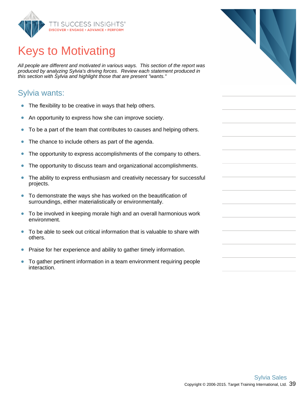

## Keys to Motivating

All people are different and motivated in various ways. This section of the report was produced by analyzing Sylvia's driving forces. Review each statement produced in this section with Sylvia and highlight those that are present "wants."

### Sylvia wants:

- $\bullet$ The flexibility to be creative in ways that help others.
- An opportunity to express how she can improve society.  $\bullet$
- To be a part of the team that contributes to causes and helping others.  $\bullet$
- The chance to include others as part of the agenda.  $\bullet$
- The opportunity to express accomplishments of the company to others.  $\bullet$
- The opportunity to discuss team and organizational accomplishments.  $\bullet$
- $\bullet$ The ability to express enthusiasm and creativity necessary for successful projects.
- $\bullet$ To demonstrate the ways she has worked on the beautification of surroundings, either materialistically or environmentally.
- To be involved in keeping morale high and an overall harmonious work environment.
- To be able to seek out critical information that is valuable to share with  $\bullet$ others.
- Praise for her experience and ability to gather timely information.  $\bullet$
- $\bullet$ To gather pertinent information in a team environment requiring people interaction.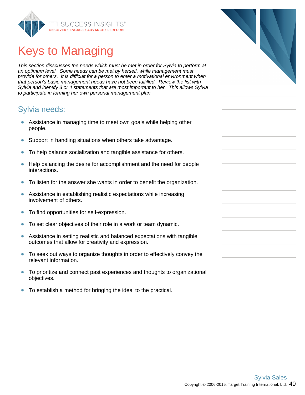

## Keys to Managing

This section disscusses the needs which must be met in order for Sylvia to perform at an optimum level. Some needs can be met by herself, while management must provide for others. It is difficult for a person to enter a motivational environment when that person's basic management needs have not been fulfilled. Review the list with Sylvia and identify 3 or 4 statements that are most important to her. This allows Sylvia to participate in forming her own personal management plan.

### Sylvia needs:

- Assistance in managing time to meet own goals while helping other people.
- Support in handling situations when others take advantage.  $\bullet$
- To help balance socialization and tangible assistance for others.  $\bullet$
- Help balancing the desire for accomplishment and the need for people  $\bullet$ interactions.
- To listen for the answer she wants in order to benefit the organization.  $\bullet$
- Assistance in establishing realistic expectations while increasing  $\bullet$ involvement of others.
- To find opportunities for self-expression.  $\bullet$
- To set clear objectives of their role in a work or team dynamic.  $\bullet$
- Assistance in setting realistic and balanced expectations with tangible  $\bullet$ outcomes that allow for creativity and expression.
- $\bullet$ To seek out ways to organize thoughts in order to effectively convey the relevant information.
- To prioritize and connect past experiences and thoughts to organizational  $\bullet$ objectives.
- $\bullet$ To establish a method for bringing the ideal to the practical.

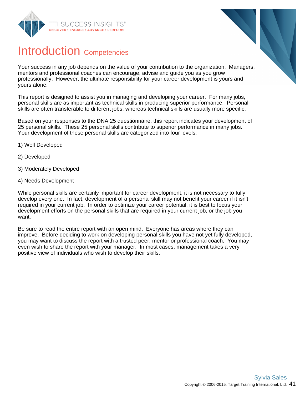



### Introduction Competencies

Your success in any job depends on the value of your contribution to the organization. Managers, mentors and professional coaches can encourage, advise and guide you as you grow professionally. However, the ultimate responsibility for your career development is yours and yours alone.

This report is designed to assist you in managing and developing your career. For many jobs, personal skills are as important as technical skills in producing superior performance. Personal skills are often transferable to different jobs, whereas technical skills are usually more specific.

Based on your responses to the DNA 25 questionnaire, this report indicates your development of 25 personal skills. These 25 personal skills contribute to superior performance in many jobs. Your development of these personal skills are categorized into four levels:

- 1) Well Developed
- 2) Developed
- 3) Moderately Developed
- 4) Needs Development

While personal skills are certainly important for career development, it is not necessary to fully develop every one. In fact, development of a personal skill may not benefit your career if it isn't required in your current job. In order to optimize your career potential, it is best to focus your development efforts on the personal skills that are required in your current job, or the job you want.

Be sure to read the entire report with an open mind. Everyone has areas where they can improve. Before deciding to work on developing personal skills you have not yet fully developed, you may want to discuss the report with a trusted peer, mentor or professional coach. You may even wish to share the report with your manager. In most cases, management takes a very positive view of individuals who wish to develop their skills.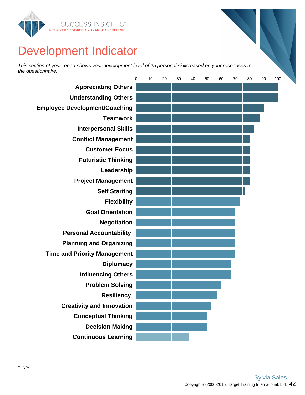

## Development Indicator

This section of your report shows your development level of 25 personal skills based on your responses to the questionnaire.

|                                      | 0 | 10 | 20 | 30 | 40 | 50 | 60 | 70 | 80 | 90 | 100 |  |
|--------------------------------------|---|----|----|----|----|----|----|----|----|----|-----|--|
| <b>Appreciating Others</b>           |   |    |    |    |    |    |    |    |    |    |     |  |
| <b>Understanding Others</b>          |   |    |    |    |    |    |    |    |    |    |     |  |
| <b>Employee Development/Coaching</b> |   |    |    |    |    |    |    |    |    |    |     |  |
| <b>Teamwork</b>                      |   |    |    |    |    |    |    |    |    |    |     |  |
| <b>Interpersonal Skills</b>          |   |    |    |    |    |    |    |    |    |    |     |  |
| <b>Conflict Management</b>           |   |    |    |    |    |    |    |    |    |    |     |  |
| <b>Customer Focus</b>                |   |    |    |    |    |    |    |    |    |    |     |  |
| <b>Futuristic Thinking</b>           |   |    |    |    |    |    |    |    |    |    |     |  |
| Leadership                           |   |    |    |    |    |    |    |    |    |    |     |  |
| <b>Project Management</b>            |   |    |    |    |    |    |    |    |    |    |     |  |
| <b>Self Starting</b>                 |   |    |    |    |    |    |    |    |    |    |     |  |
| <b>Flexibility</b>                   |   |    |    |    |    |    |    |    |    |    |     |  |
| <b>Goal Orientation</b>              |   |    |    |    |    |    |    |    |    |    |     |  |
| <b>Negotiation</b>                   |   |    |    |    |    |    |    |    |    |    |     |  |
| <b>Personal Accountability</b>       |   |    |    |    |    |    |    |    |    |    |     |  |
| <b>Planning and Organizing</b>       |   |    |    |    |    |    |    |    |    |    |     |  |
| <b>Time and Priority Management</b>  |   |    |    |    |    |    |    |    |    |    |     |  |
| <b>Diplomacy</b>                     |   |    |    |    |    |    |    |    |    |    |     |  |
| <b>Influencing Others</b>            |   |    |    |    |    |    |    |    |    |    |     |  |
| <b>Problem Solving</b>               |   |    |    |    |    |    |    |    |    |    |     |  |
| <b>Resiliency</b>                    |   |    |    |    |    |    |    |    |    |    |     |  |
| <b>Creativity and Innovation</b>     |   |    |    |    |    |    |    |    |    |    |     |  |
| <b>Conceptual Thinking</b>           |   |    |    |    |    |    |    |    |    |    |     |  |
| <b>Decision Making</b>               |   |    |    |    |    |    |    |    |    |    |     |  |
| <b>Continuous Learning</b>           |   |    |    |    |    |    |    |    |    |    |     |  |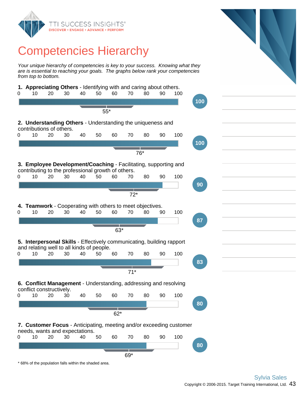

### Competencies Hierarchy

Your unique hierarchy of competencies is key to your success. Knowing what they are is essential to reaching your goals. The graphs below rank your competencies from top to bottom.

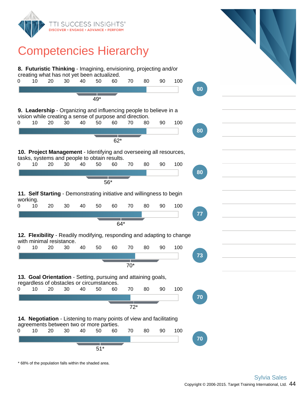

### Competencies Hierarchy

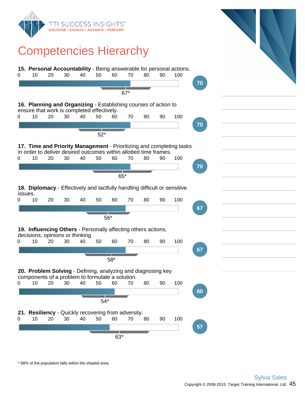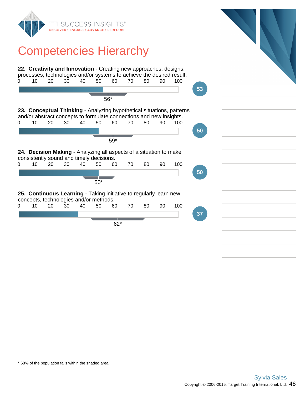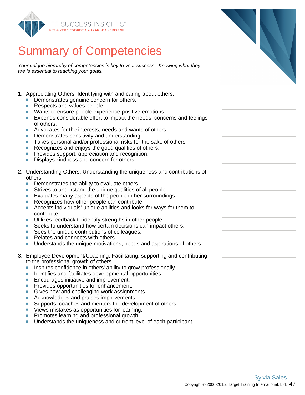

Your unique hierarchy of competencies is key to your success. Knowing what they are is essential to reaching your goals.

- 1. Appreciating Others: Identifying with and caring about others.
	- Demonstrates genuine concern for others.
	- $\bullet$ Respects and values people.
	- Wants to ensure people experience positive emotions.
	- Expends considerable effort to impact the needs, concerns and feelings of others.
	- Advocates for the interests, needs and wants of others.  $\bullet$
	- Demonstrates sensitivity and understanding.
	- Takes personal and/or professional risks for the sake of others.  $\bullet$
	- Recognizes and enjoys the good qualities of others.  $\bullet$
	- Provides support, appreciation and recognition.  $\bullet$
	- Displays kindness and concern for others. ŏ
- 2. Understanding Others: Understanding the uniqueness and contributions of others.
	- Demonstrates the ability to evaluate others.  $\bullet$
	- Strives to understand the unique qualities of all people.
	- Evaluates many aspects of the people in her surroundings.
	- Recognizes how other people can contribute.
	- $\bullet$ Accepts individuals' unique abilities and looks for ways for them to contribute.
	- Utilizes feedback to identify strengths in other people.  $\bullet$
	- Seeks to understand how certain decisions can impact others.  $\bullet$
	- Sees the unique contributions of colleagues.  $\bullet$
	- $\bullet$ Relates and connects with others.
	- Understands the unique motivations, needs and aspirations of others.  $\bullet$
- 3. Employee Development/Coaching: Facilitating, supporting and contributing to the professional growth of others.
	- Inspires confidence in others' ability to grow professionally.  $\bullet$
	- $\bullet$ Identifies and facilitates developmental opportunities.
	- Encourages initiative and improvement.  $\bullet$
	- Provides opportunities for enhancement.
	- Gives new and challenging work assignments.  $\bullet$
	- Acknowledges and praises improvements.  $\bullet$
	- $\bullet$ Supports, coaches and mentors the development of others.
	- Views mistakes as opportunities for learning.
	- Promotes learning and professional growth.  $\bullet$
	- Understands the uniqueness and current level of each participant.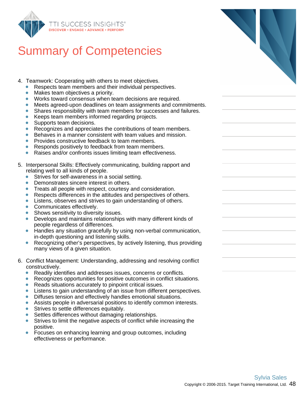

- 4. Teamwork: Cooperating with others to meet objectives.
	- Respects team members and their individual perspectives.
	- $\bullet$ Makes team objectives a priority.
	- Works toward consensus when team decisions are required.
	- Meets agreed-upon deadlines on team assignments and commitments.
	- Shares responsibility with team members for successes and failures.
	- Keeps team members informed regarding projects.  $\bullet$
	- $\bullet$ Supports team decisions.
	- Recognizes and appreciates the contributions of team members.  $\bullet$
	- ò Behaves in a manner consistent with team values and mission.
	- Provides constructive feedback to team members.
	- Responds positively to feedback from team members.  $\bullet$
	- $\bullet$ Raises and/or confronts issues limiting team effectiveness.
- 5. Interpersonal Skills: Effectively communicating, building rapport and relating well to all kinds of people.
	- Strives for self-awareness in a social setting.
	- Demonstrates sincere interest in others.  $\bullet$
	- Treats all people with respect, courtesy and consideration.  $\bullet$
	- Respects differences in the attitudes and perspectives of others.
	- Listens, observes and strives to gain understanding of others.  $\bullet$
	- Communicates effectively.
	- Shows sensitivity to diversity issues.  $\bullet$
	- Develops and maintains relationships with many different kinds of people regardless of differences.
	- Handles any situation gracefully by using non-verbal communication,  $\bullet$ in-depth questioning and listening skills.
	- $\bullet$ Recognizing other's perspectives, by actively listening, thus providing many views of a given situation.
- 6. Conflict Management: Understanding, addressing and resolving conflict constructively.
	- Readily identifies and addresses issues, concerns or conflicts.
	- Recognizes opportunities for positive outcomes in conflict situations.  $\bullet$
	- ò Reads situations accurately to pinpoint critical issues.
	- Listens to gain understanding of an issue from different perspectives.  $\bullet$
	- Diffuses tension and effectively handles emotional situations.  $\bullet$
	- Assists people in adversarial positions to identify common interests.  $\bullet$
	- Strives to settle differences equitably.  $\bullet$
	- Settles differences without damaging relationships.
	- Strives to limit the negative aspects of conflict while increasing the positive.
	- $\bullet$ Focuses on enhancing learning and group outcomes, including effectiveness or performance.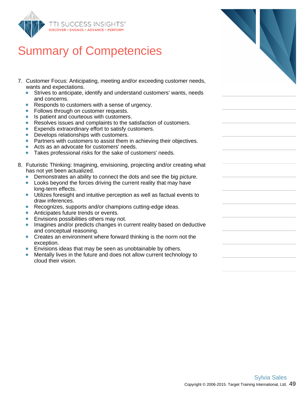

- 7. Customer Focus: Anticipating, meeting and/or exceeding c wants and expectations.
	- Strives to anticipate, identify and understand customers  $\bullet$ and concerns.
	- Responds to customers with a sense of urgency.  $\bullet$
	- $\bullet$ Follows through on customer requests.
	- Is patient and courteous with customers.  $\bullet$
	- $\bullet$ Resolves issues and complaints to the satisfaction of cu
	- Expends extraordinary effort to satisfy customers.  $\bullet$
	- $\bullet$ Develops relationships with customers.
	- Partners with customers to assist them in achieving their
	- Acts as an advocate for customers' needs.  $\bullet$
	- $\bullet$ Takes professional risks for the sake of customers' need
- 8. Futuristic Thinking: Imagining, envisioning, projecting and/c has not yet been actualized.
	- Demonstrates an ability to connect the dots and see the  $\bullet$
	- Looks beyond the forces driving the current reality that long-term effects.
	- $\bullet$ Utilizes foresight and intuitive perception as well as fact draw inferences.
	- Recognizes, supports and/or champions cutting-edge ideas.
	- Anticipates future trends or events.  $\bullet$
	- $\bullet$ Envisions possibilities others may not.
	- Imagines and/or predicts changes in current reality base and conceptual reasoning.
	- Creates an environment where forward thinking is the no  $\bullet$ exception.
	- Envisions ideas that may be seen as unobtainable by others.
	- Mentally lives in the future and does not allow current technology to  $\bullet$ cloud their vision.

| ustomer needs,             |  |
|----------------------------|--|
| s' wants, needs            |  |
|                            |  |
| ustomers.                  |  |
| ir objectives.             |  |
| ds.                        |  |
| or creating what           |  |
| e big picture.<br>may have |  |
| ual events to              |  |
| deas.                      |  |
| ed on deductive            |  |
| iorm not the               |  |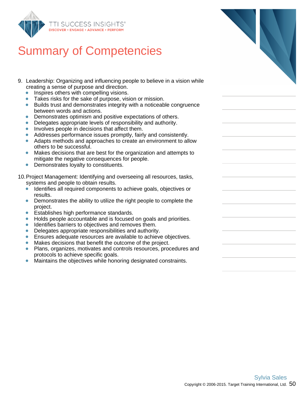

- 9. Leadership: Organizing and influencing people to creating a sense of purpose and direction.
	- Inspires others with compelling visions.  $\bullet$
	- Takes risks for the sake of purpose, vision or n
	- $\bullet$  Builds trust and demonstrates integrity with a n between words and actions.
	- Demonstrates optimism and positive expectations.  $\bullet$
	- $\bullet$ Delegates appropriate levels of responsibility a
	- Involves people in decisions that affect them.  $\bullet$
	- $\bullet$ Addresses performance issues promptly, fairly
	- Adapts methods and approaches to create an others to be successful.
	- $\bullet$ Makes decisions that are best for the organization at the attempts of  $\alpha$ mitigate the negative consequences for people.
	- $\bullet$ Demonstrates loyalty to constituents.

10. Project Management: Identifying and overseeing a systems and people to obtain results.

- Identifies all required components to achieve g results.
- $\bullet$ Demonstrates the ability to utilize the right people project.
- Establishes high performance standards.
- Holds people accountable and is focused on goals and priorities. ŏ
- $\bullet$ Identifies barriers to objectives and removes them.
- Delegates appropriate responsibilities and authority.  $\bullet$
- $\bullet$ Ensures adequate resources are available to achieve objectives.
- Makes decisions that benefit the outcome of the project.  $\bullet$
- $\bullet$ Plans, organizes, motivates and controls resources, procedures and protocols to achieve specific goals.
- Maintains the objectives while honoring designated constraints.  $\bullet$

| ies                                       |  |
|-------------------------------------------|--|
| believe in a vision while                 |  |
| nission.<br>noticeable congruence         |  |
| ons of others.<br>and authority.          |  |
| and consistently.<br>environment to allow |  |
| tion and attempts to<br>١.                |  |
| all resources, tasks,                     |  |
| joals, objectives or                      |  |
| ple to complete the                       |  |
| nale and nrinritiee                       |  |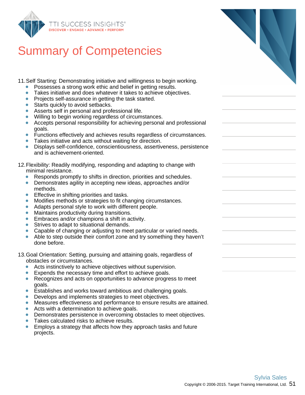

11.Self Starting: Demonstrating initiative and willingness to begin working.

- Possesses a strong work ethic and belief in getting results.
- $\bullet$ Takes initiative and does whatever it takes to achieve objectives.
- Projects self-assurance in getting the task started.
- **Starts quickly to avoid setbacks.**
- Asserts self in personal and professional life.
- Willing to begin working regardless of circumstances.
- $\bullet$ Accepts personal responsibility for achieving personal and professional goals.
- $\bullet$ Functions effectively and achieves results regardless of circumstances.
- Takes initiative and acts without waiting for direction.
- Displays self-confidence, conscientiousness, assertiveness, persistence and is achievement-oriented.

#### 12.Flexibility: Readily modifying, responding and adapting to change with minimal resistance.

- Responds promptly to shifts in direction, priorities and schedules.
- Demonstrates agility in accepting new ideas, approaches and/or methods.
- $\bullet$ Effective in shifting priorities and tasks.
- Modifies methods or strategies to fit changing circumstances.  $\bullet$
- Adapts personal style to work with different people.
- $\bullet$ Maintains productivity during transitions.
- $\bullet$ Embraces and/or champions a shift in activity.
- $\bullet$ Strives to adapt to situational demands.
- Capable of changing or adjusting to meet particular or varied needs.
- Able to step outside their comfort zone and try something they haven't done before.

#### 13.Goal Orientation: Setting, pursuing and attaining goals, regardless of obstacles or circumstances.

- Acts instinctively to achieve objectives without supervision.  $\bullet$
- Expends the necessary time and effort to achieve goals.
- Recognizes and acts on opportunities to advance progress to meet  $\bullet$ goals.
- Establishes and works toward ambitious and challenging goals.  $\bullet$
- Develops and implements strategies to meet objectives.  $\bullet$
- Measures effectiveness and performance to ensure results are attained.
- Acts with a determination to achieve goals.  $\bullet$
- Demonstrates persistence in overcoming obstacles to meet objectives.
- Takes calculated risks to achieve results.
- Employs a strategy that affects how they approach tasks and future projects.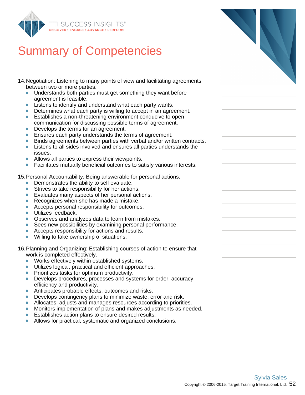

- 14.Negotiation: Listening to many points of view and facilitating agreements between two or more parties.
	- $\bullet$ Understands both parties must get something they want before agreement is feasible.
	- Listens to identify and understand what each party wants.  $\bullet$
	- Determines what each party is willing to accept in an agreement.
	- Establishes a non-threatening environment conducive to open  $\bullet$ communication for discussing possible terms of agreement.
	- Develops the terms for an agreement.
	- $\bullet$ Ensures each party understands the terms of agreement.
	- Binds agreements between parties with verbal and/or written contracts.
	- $\bullet$ Listens to all sides involved and ensures all parties understands the issues.
	- Allows all parties to express their viewpoints. ö
	- Facilitates mutually beneficial outcomes to satisfy various interests.

15.Personal Accountability: Being answerable for personal actions.

- Demonstrates the ability to self evaluate.  $\bullet$
- Strives to take responsibility for her actions.  $\bullet$
- $\bullet$ Evaluates many aspects of her personal actions.
- Recognizes when she has made a mistake.  $\bullet$
- Accepts personal responsibility for outcomes.
- Utilizes feedback.  $\bullet$
- Observes and analyzes data to learn from mistakes.
- Sees new possibilities by examining personal performance.
- Accepts responsibility for actions and results.
- Willing to take ownership of situations.  $\bullet$

16.Planning and Organizing: Establishing courses of action to ensure that work is completed effectively.

- Works effectively within established systems.  $\bullet$
- Utilizes logical, practical and efficient approaches.  $\bullet$
- Prioritizes tasks for optimum productivity.
- Develops procedures, processes and systems for order, accuracy, efficiency and productivity.
- Anticipates probable effects, outcomes and risks.  $\bullet$
- Develops contingency plans to minimize waste, error and risk.  $\bullet$
- Allocates, adjusts and manages resources according to priorities.  $\bullet$
- Monitors implementation of plans and makes adjustments as needed.  $\bullet$
- Establishes action plans to ensure desired results.
- Allows for practical, systematic and organized conclusions.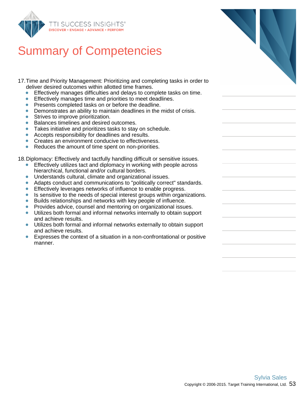

- 17.Time and Priority Management: Prioritizing and completing tasks in order to deliver desired outcomes within allotted time frames.
	- $\bullet$ Effectively manages difficulties and delays to complete tasks on time.
	- Effectively manages time and priorities to meet deadlines.
	- Presents completed tasks on or before the deadline.  $\bullet$
	- Demonstrates an ability to maintain deadlines in the midst of crisis.  $\bullet$
	- Strives to improve prioritization.  $\bullet$
	- $\bullet$ Balances timelines and desired outcomes.
	- Takes initiative and prioritizes tasks to stay on schedule.  $\bullet$
	- $\bullet$ Accepts responsibility for deadlines and results.
	- Creates an environment conducive to effectiveness.
	- $\bullet$ Reduces the amount of time spent on non-priorities.

18.Diplomacy: Effectively and tactfully handling difficult or sensitive issues.

- Effectively utilizes tact and diplomacy in working with people across hierarchical, functional and/or cultural borders.
- Understands cultural, climate and organizational issues.  $\bullet$
- Adapts conduct and communications to "politically correct" standards.  $\bullet$
- Effectively leverages networks of influence to enable progress.  $\bullet$
- $\bullet$ Is sensitive to the needs of special interest groups within organizations.
- Builds relationships and networks with key people of influence.  $\bullet$
- Provides advice, counsel and mentoring on organizational issues.
- Utilizes both formal and informal networks internally to obtain support  $\bullet$ and achieve results.
- Utilizes both formal and informal networks externally to obtain support and achieve results.
- Expresses the context of a situation in a non-confrontational or positive manner.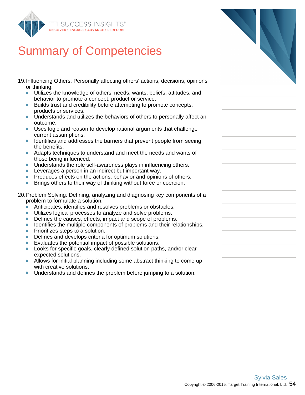

- 19.Influencing Others: Personally affecting others' actions, decisions, opinions or thinking.
	- Utilizes the knowledge of others' needs, wants, beliefs, attitudes, and  $\bullet$ behavior to promote a concept, product or service.
	- Builds trust and credibility before attempting to promote concepts,  $\bullet$ products or services.
	- Understands and utilizes the behaviors of others to personally affect an  $\bullet$ outcome.
	- Uses logic and reason to develop rational arguments that challenge current assumptions.
	- Identifies and addresses the barriers that prevent people from seeing the benefits.
	- Adapts techniques to understand and meet the needs and wants of those being influenced.
	- **Understands the role self-awareness plays in influencing others.**
	- Leverages a person in an indirect but important way.
	- Produces effects on the actions, behavior and opinions of others.  $\bullet$
	- Brings others to their way of thinking without force or coercion.  $\bullet$
- 20.Problem Solving: Defining, analyzing and diagnosing key components of a problem to formulate a solution.
	- Anticipates, identifies and resolves problems or obstacles.
	- Utilizes logical processes to analyze and solve problems.  $\bullet$
	- $\bullet$ Defines the causes, effects, impact and scope of problems.
	- $\bullet$ Identifies the multiple components of problems and their relationships.
	- Prioritizes steps to a solution.  $\bullet$
	- Defines and develops criteria for optimum solutions.  $\bullet$
	- Evaluates the potential impact of possible solutions.  $\bullet$
	- Looks for specific goals, clearly defined solution paths, and/or clear expected solutions.
	- Allows for initial planning including some abstract thinking to come up with creative solutions.
	- Understands and defines the problem before jumping to a solution.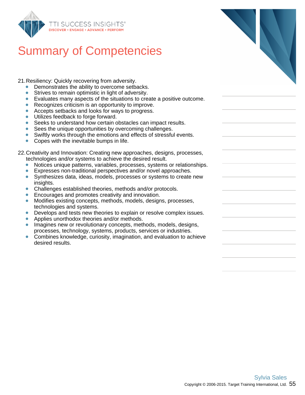

21.Resiliency: Quickly recovering from adversity.

- Demonstrates the ability to overcome setbacks.
- $\bullet$ Strives to remain optimistic in light of adversity.
- Evaluates many aspects of the situations to create a positive outcome.
- Recognizes criticism is an opportunity to improve.
- Accepts setbacks and looks for ways to progress.
- Utilizes feedback to forge forward.  $\bullet$
- Seeks to understand how certain obstacles can impact results.
- Sees the unique opportunities by overcoming challenges.  $\bullet$
- $\bullet$ Swiftly works through the emotions and effects of stressful events.
- Copes with the inevitable bumps in life.

22.Creativity and Innovation: Creating new approaches, designs, processes, technologies and/or systems to achieve the desired result.

- Notices unique patterns, variables, processes, systems or relationships.
- Expresses non-traditional perspectives and/or novel approaches.
- Synthesizes data, ideas, models, processes or systems to create new  $\bullet$ insights.
- Challenges established theories, methods and/or protocols.  $\bullet$
- Encourages and promotes creativity and innovation.
- Modifies existing concepts, methods, models, designs, processes,  $\bullet$ technologies and systems.
- Develops and tests new theories to explain or resolve complex issues.
- Applies unorthodox theories and/or methods.
- Imagines new or revolutionary concepts, methods, models, designs, processes, technology, systems, products, services or industries.
- Combines knowledge, curiosity, imagination, and evaluation to achieve desired results.

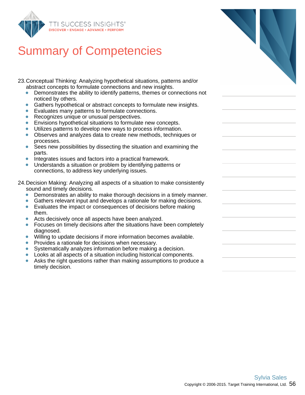

23. Conceptual Thinking: Analyzing hypothetical situations, abstract concepts to formulate connections and new insights.

- $\bullet$ Demonstrates the ability to identify patterns, themes noticed by others.
- Gathers hypothetical or abstract concepts to formulat  $\bullet$
- Evaluates many patterns to formulate connections.  $\bullet$
- Recognizes unique or unusual perspectives.  $\bullet$
- $\bullet$ Envisions hypothetical situations to formulate new co
- Utilizes patterns to develop new ways to process info  $\bullet$
- $\bullet$ Observes and analyzes data to create new methods, processes.
- $\bullet$ Sees new possibilities by dissecting the situation and parts.
- $\bullet$ Integrates issues and factors into a practical framework.
- Understands a situation or problem by identifying patt connections, to address key underlying issues.
- 24. Decision Making: Analyzing all aspects of a situation to r sound and timely decisions.
	- Demonstrates an ability to make thorough decisions  $\bullet$
	- Gathers relevant input and develops a rationale for m  $\bullet$
	- $\bullet$ Evaluates the impact or consequences of decisions b them.
	- Acts decisively once all aspects have been analyzed.
	- Focuses on timely decisions after the situations have diagnosed.
	- Willing to update decisions if more information becom  $\bullet$
	- Provides a rationale for decisions when necessary.  $\bullet$
	- Systematically analyzes information before making a
	- Looks at all aspects of a situation including historical
	- Asks the right questions rather than making assumptions.  $\bullet$ timely decision.

| patterns and/or<br>ights.<br>or connections not          |  |
|----------------------------------------------------------|--|
| te new insights.                                         |  |
| ncepts.<br>ormation.<br>techniques or                    |  |
| l examining the                                          |  |
| ork.<br>terns or                                         |  |
| make consistently                                        |  |
| in a timely manner.<br>aking decisions.<br>before making |  |
| been completely                                          |  |
| nes available.                                           |  |
| decision.<br>components.<br>ions to produce a            |  |
|                                                          |  |
|                                                          |  |
|                                                          |  |
|                                                          |  |
|                                                          |  |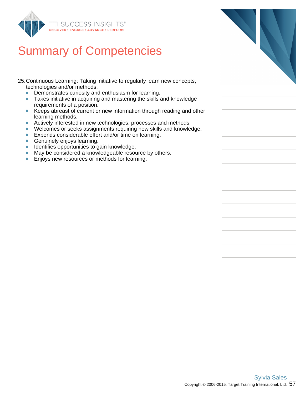

- 25.Continuous Learning: Taking initiative to regularly learn new concepts, technologies and/or methods.
	- Demonstrates curiosity and enthusiasm for learning.  $\bullet$
	- Takes initiative in acquiring and mastering the skills and knowledge  $\bullet$ requirements of a position.
	- Keeps abreast of current or new information through reading and other  $\bullet$ learning methods.
	- $\bullet$ Actively interested in new technologies, processes and methods.
	- Welcomes or seeks assignments requiring new skills and knowledge.
	- Expends considerable effort and/or time on learning.  $\bullet$
	- **Genuinely enjoys learning.**
	- Identifies opportunities to gain knowledge.  $\bullet$
	- $\bullet$ May be considered a knowledgeable resource by others.
	- Enjoys new resources or methods for learning.  $\bullet$